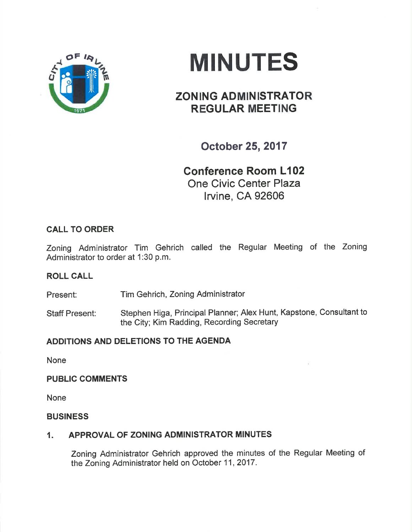



# ZONING ADMINISTRATOR REGULAR MEETING

October 25,2017

Conference Room L102 One Civic Center Plaza lrvine, CA 92606

# CALL TO ORDER

Zoning Administrator Tim Gehrich called the Regular Meeting of the Zoning Administrator to order at 1:30 p.m.

# ROLL CALL

Present: Tim Gehrich, Zoning Administrator

Staff Present: Stephen Higa, Principal Planner; Alex Hunt, Kapstone, Consultant to the City; Kim Radding, Recording Secretary

# ADDITIONS AND DELETIONS TO THE AGENDA

None

### PUBLIC COMMENTS

None

### **BUSINESS**

# 1. APPROVAL OF ZONING ADMINISTRATOR MINUTES

Zoning Administrator Gehrich approved the minutes of the Regular Meeting of the Zoning Administrator held on October 11,2017.